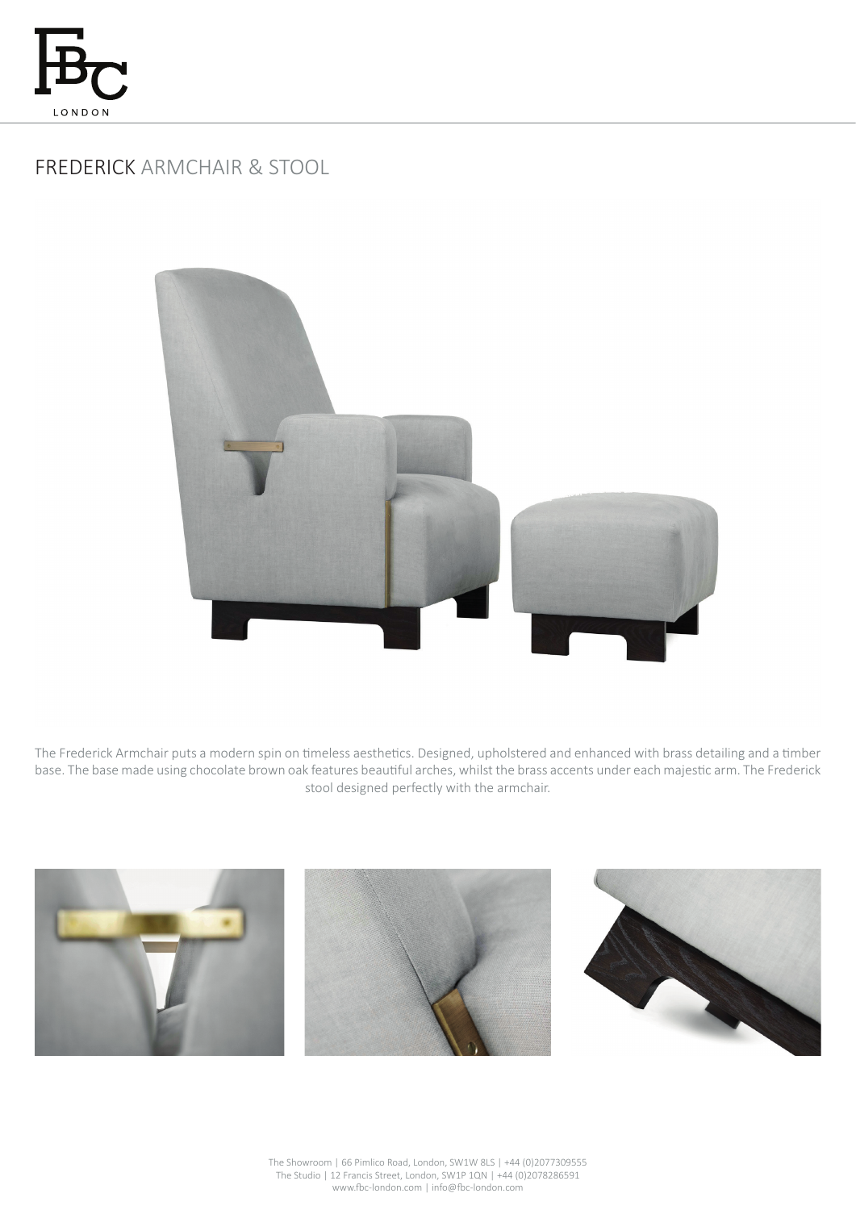

# FREDERICK ARMCHAIR & STOOL



The Frederick Armchair puts a modern spin on timeless aesthetics. Designed, upholstered and enhanced with brass detailing and a timber base. The base made using chocolate brown oak features beautiful arches, whilst the brass accents under each majestic arm. The Frederick stool designed perfectly with the armchair.